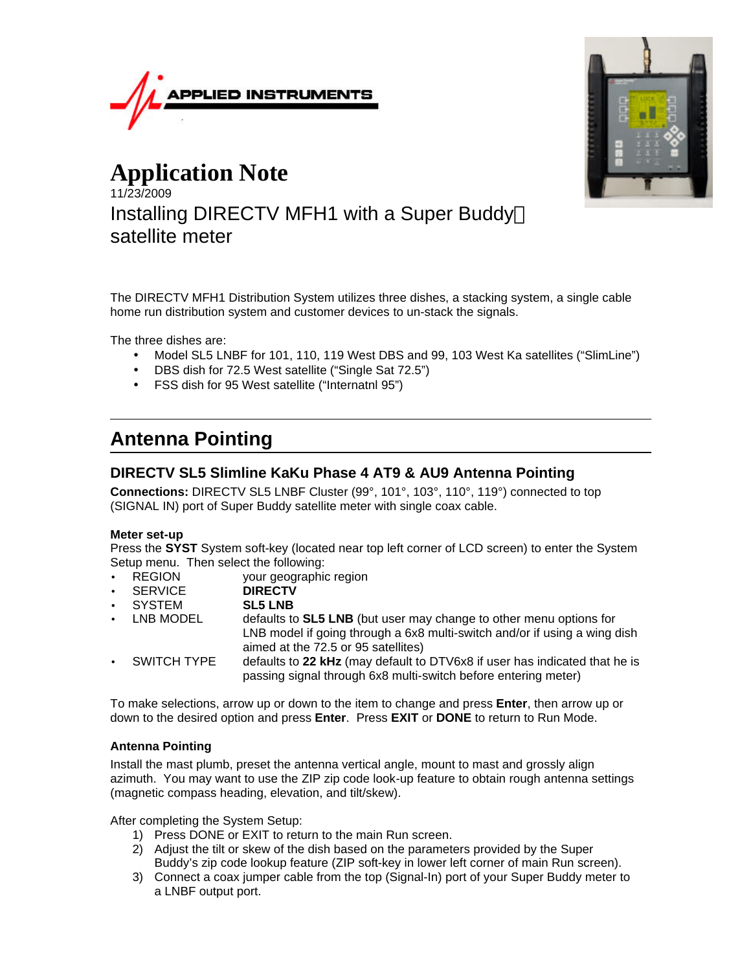



# **Application Note** 11/23/2009 Installing DIRECTV MFH1 with a Super Buddy<sup>™</sup> satellite meter

The DIRECTV MFH1 Distribution System utilizes three dishes, a stacking system, a single cable home run distribution system and customer devices to un-stack the signals.

The three dishes are:

- Model SL5 LNBF for 101, 110, 119 West DBS and 99, 103 West Ka satellites ("SlimLine")
- DBS dish for 72.5 West satellite ("Single Sat 72.5")
- FSS dish for 95 West satellite ("Internatnl 95")

# **Antenna Pointing**

# **DIRECTV SL5 Slimline KaKu Phase 4 AT9 & AU9 Antenna Pointing**

**Connections:** DIRECTV SL5 LNBF Cluster (99°, 101°, 103°, 110°, 119°) connected to top (SIGNAL IN) port of Super Buddy satellite meter with single coax cable.

#### **Meter set-up**

Press the **SYST** System soft-key (located near top left corner of LCD screen) to enter the System Setup menu. Then select the following:

• REGION your geographic region

- SERVICE **DIRECTV**
- SYSTEM **SL5 LNB**
- LNB MODEL defaults to **SL5 LNB** (but user may change to other menu options for LNB model if going through a 6x8 multi-switch and/or if using a wing dish aimed at the 72.5 or 95 satellites)
- SWITCH TYPE defaults to **22 kHz** (may default to DTV6x8 if user has indicated that he is passing signal through 6x8 multi-switch before entering meter)

To make selections, arrow up or down to the item to change and press **Enter**, then arrow up or down to the desired option and press **Enter**. Press **EXIT** or **DONE** to return to Run Mode.

#### **Antenna Pointing**

Install the mast plumb, preset the antenna vertical angle, mount to mast and grossly align azimuth. You may want to use the ZIP zip code look-up feature to obtain rough antenna settings (magnetic compass heading, elevation, and tilt/skew).

After completing the System Setup:

- 1) Press DONE or EXIT to return to the main Run screen.
- 2) Adjust the tilt or skew of the dish based on the parameters provided by the Super Buddy's zip code lookup feature (ZIP soft-key in lower left corner of main Run screen).
- 3) Connect a coax jumper cable from the top (Signal-In) port of your Super Buddy meter to a LNBF output port.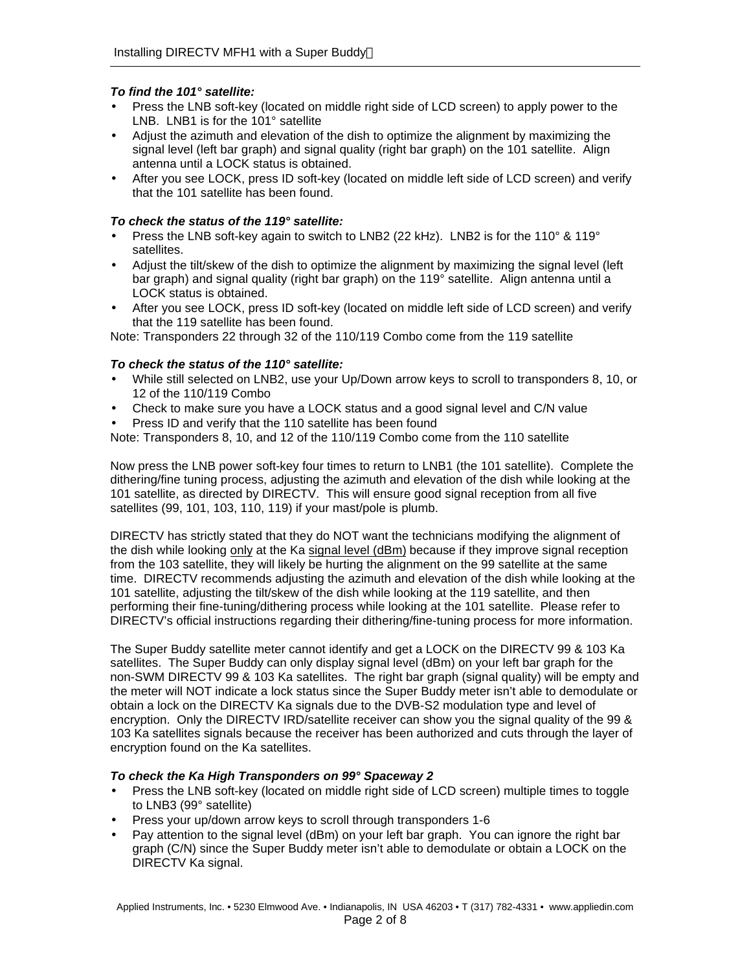## *To find the 101° satellite:*

- Press the LNB soft-key (located on middle right side of LCD screen) to apply power to the LNB. LNB1 is for the 101° satellite
- Adjust the azimuth and elevation of the dish to optimize the alignment by maximizing the signal level (left bar graph) and signal quality (right bar graph) on the 101 satellite. Align antenna until a LOCK status is obtained.
- After you see LOCK, press ID soft-key (located on middle left side of LCD screen) and verify that the 101 satellite has been found.

## *To check the status of the 119° satellite:*

- Press the LNB soft-key again to switch to LNB2 (22 kHz). LNB2 is for the 110 $^{\circ}$  & 119 $^{\circ}$ satellites.
- Adjust the tilt/skew of the dish to optimize the alignment by maximizing the signal level (left bar graph) and signal quality (right bar graph) on the 119° satellite. Align antenna until a LOCK status is obtained.
- After you see LOCK, press ID soft-key (located on middle left side of LCD screen) and verify that the 119 satellite has been found.

Note: Transponders 22 through 32 of the 110/119 Combo come from the 119 satellite

## *To check the status of the 110° satellite:*

- While still selected on LNB2, use your Up/Down arrow keys to scroll to transponders 8, 10, or 12 of the 110/119 Combo
- Check to make sure you have a LOCK status and a good signal level and C/N value
- Press ID and verify that the 110 satellite has been found

Note: Transponders 8, 10, and 12 of the 110/119 Combo come from the 110 satellite

Now press the LNB power soft-key four times to return to LNB1 (the 101 satellite). Complete the dithering/fine tuning process, adjusting the azimuth and elevation of the dish while looking at the 101 satellite, as directed by DIRECTV. This will ensure good signal reception from all five satellites (99, 101, 103, 110, 119) if your mast/pole is plumb.

DIRECTV has strictly stated that they do NOT want the technicians modifying the alignment of the dish while looking only at the Ka signal level (dBm) because if they improve signal reception from the 103 satellite, they will likely be hurting the alignment on the 99 satellite at the same time. DIRECTV recommends adjusting the azimuth and elevation of the dish while looking at the 101 satellite, adjusting the tilt/skew of the dish while looking at the 119 satellite, and then performing their fine-tuning/dithering process while looking at the 101 satellite. Please refer to DIRECTV's official instructions regarding their dithering/fine-tuning process for more information.

The Super Buddy satellite meter cannot identify and get a LOCK on the DIRECTV 99 & 103 Ka satellites. The Super Buddy can only display signal level (dBm) on your left bar graph for the non-SWM DIRECTV 99 & 103 Ka satellites. The right bar graph (signal quality) will be empty and the meter will NOT indicate a lock status since the Super Buddy meter isn't able to demodulate or obtain a lock on the DIRECTV Ka signals due to the DVB-S2 modulation type and level of encryption. Only the DIRECTV IRD/satellite receiver can show you the signal quality of the 99 & 103 Ka satellites signals because the receiver has been authorized and cuts through the layer of encryption found on the Ka satellites.

## *To check the Ka High Transponders on 99° Spaceway 2*

- Press the LNB soft-key (located on middle right side of LCD screen) multiple times to toggle to LNB3 (99° satellite)
- Press your up/down arrow keys to scroll through transponders 1-6
- Pay attention to the signal level (dBm) on your left bar graph. You can ignore the right bar graph (C/N) since the Super Buddy meter isn't able to demodulate or obtain a LOCK on the DIRECTV Ka signal.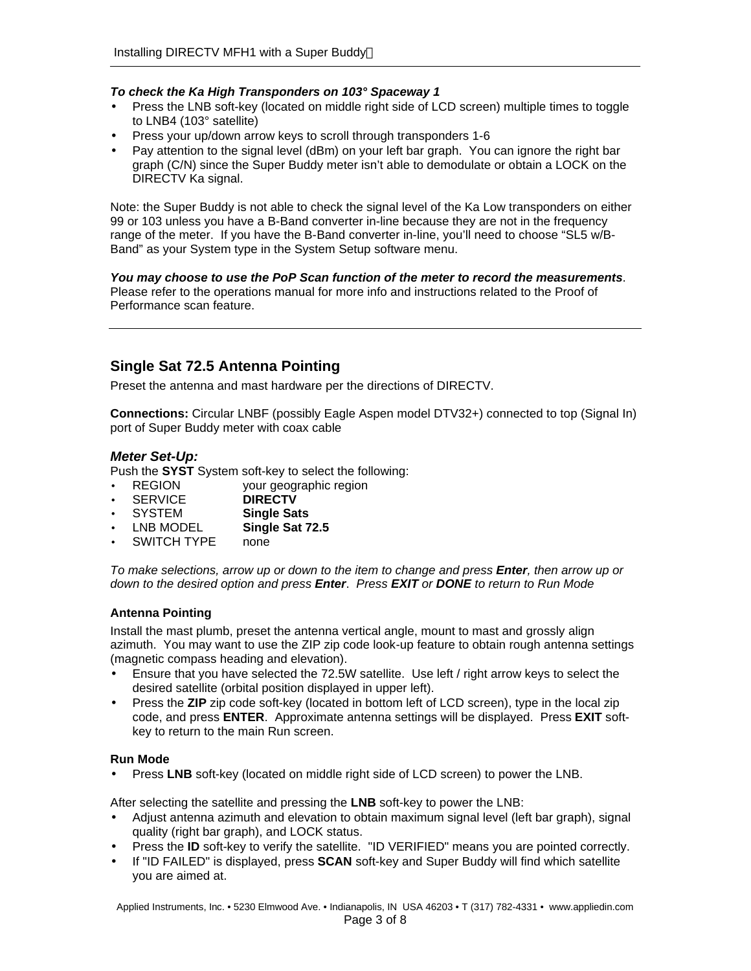#### *To check the Ka High Transponders on 103° Spaceway 1*

- Press the LNB soft-key (located on middle right side of LCD screen) multiple times to toggle to LNB4 (103° satellite)
- Press your up/down arrow keys to scroll through transponders 1-6
- Pay attention to the signal level (dBm) on your left bar graph. You can ignore the right bar graph (C/N) since the Super Buddy meter isn't able to demodulate or obtain a LOCK on the DIRECTV Ka signal.

Note: the Super Buddy is not able to check the signal level of the Ka Low transponders on either 99 or 103 unless you have a B-Band converter in-line because they are not in the frequency range of the meter. If you have the B-Band converter in-line, you'll need to choose "SL5 w/B-Band" as your System type in the System Setup software menu.

*You may choose to use the PoP Scan function of the meter to record the measurements*. Please refer to the operations manual for more info and instructions related to the Proof of Performance scan feature.

# **Single Sat 72.5 Antenna Pointing**

Preset the antenna and mast hardware per the directions of DIRECTV.

**Connections:** Circular LNBF (possibly Eagle Aspen model DTV32+) connected to top (Signal In) port of Super Buddy meter with coax cable

## *Meter Set-Up:*

Push the **SYST** System soft-key to select the following:

- REGION your geographic region<br>• SERVICE **DIRECTV**
- **SERVICE**
- SYSTEM **Single Sats**
- LNB MODEL **Single Sat 72.5**
- SWITCH TYPE none

*To make selections, arrow up or down to the item to change and press Enter, then arrow up or down to the desired option and press Enter*. *Press EXIT or DONE to return to Run Mode*

## **Antenna Pointing**

Install the mast plumb, preset the antenna vertical angle, mount to mast and grossly align azimuth. You may want to use the ZIP zip code look-up feature to obtain rough antenna settings (magnetic compass heading and elevation).

- Ensure that you have selected the 72.5W satellite. Use left / right arrow keys to select the desired satellite (orbital position displayed in upper left).
- Press the **ZIP** zip code soft-key (located in bottom left of LCD screen), type in the local zip code, and press **ENTER**. Approximate antenna settings will be displayed. Press **EXIT** softkey to return to the main Run screen.

#### **Run Mode**

Press LNB soft-key (located on middle right side of LCD screen) to power the LNB.

After selecting the satellite and pressing the **LNB** soft-key to power the LNB:

- Adjust antenna azimuth and elevation to obtain maximum signal level (left bar graph), signal quality (right bar graph), and LOCK status.
- Press the **ID** soft-key to verify the satellite. "ID VERIFIED" means you are pointed correctly.
- If "ID FAILED" is displayed, press **SCAN** soft-key and Super Buddy will find which satellite you are aimed at.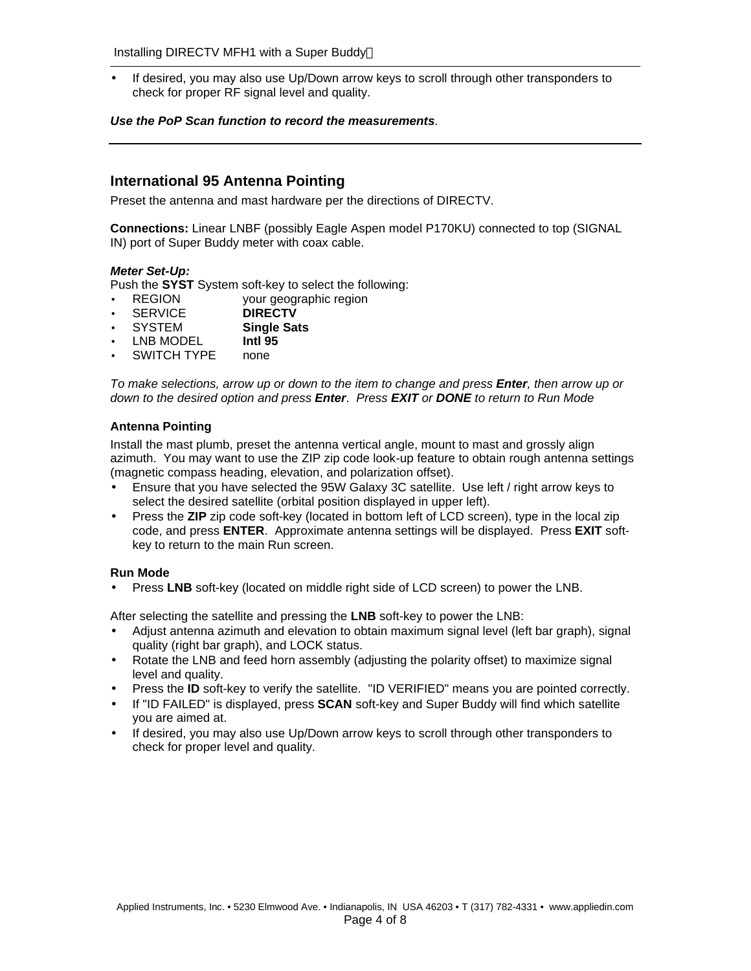• If desired, you may also use Up/Down arrow keys to scroll through other transponders to check for proper RF signal level and quality.

#### *Use the PoP Scan function to record the measurements*.

# **International 95 Antenna Pointing**

Preset the antenna and mast hardware per the directions of DIRECTV.

**Connections:** Linear LNBF (possibly Eagle Aspen model P170KU) connected to top (SIGNAL IN) port of Super Buddy meter with coax cable.

### *Meter Set-Up:*

Push the **SYST** System soft-key to select the following:

- REGION your geographic region
- SERVICE **DIRECTV**
- SYSTEM **Single Sats**
- LNB MODEL **Intl 95**
- SWITCH TYPE none

*To make selections, arrow up or down to the item to change and press Enter, then arrow up or down to the desired option and press Enter*. *Press EXIT or DONE to return to Run Mode*

### **Antenna Pointing**

Install the mast plumb, preset the antenna vertical angle, mount to mast and grossly align azimuth. You may want to use the ZIP zip code look-up feature to obtain rough antenna settings (magnetic compass heading, elevation, and polarization offset).

- Ensure that you have selected the 95W Galaxy 3C satellite. Use left / right arrow keys to select the desired satellite (orbital position displayed in upper left).
- Press the **ZIP** zip code soft-key (located in bottom left of LCD screen), type in the local zip code, and press **ENTER**. Approximate antenna settings will be displayed. Press **EXIT** softkey to return to the main Run screen.

#### **Run Mode**

• Press **LNB** soft-key (located on middle right side of LCD screen) to power the LNB.

After selecting the satellite and pressing the **LNB** soft-key to power the LNB:

- Adjust antenna azimuth and elevation to obtain maximum signal level (left bar graph), signal quality (right bar graph), and LOCK status.
- Rotate the LNB and feed horn assembly (adjusting the polarity offset) to maximize signal level and quality.
- Press the **ID** soft-key to verify the satellite. "ID VERIFIED" means you are pointed correctly.
- If "ID FAILED" is displayed, press **SCAN** soft-key and Super Buddy will find which satellite you are aimed at.
- If desired, you may also use Up/Down arrow keys to scroll through other transponders to check for proper level and quality.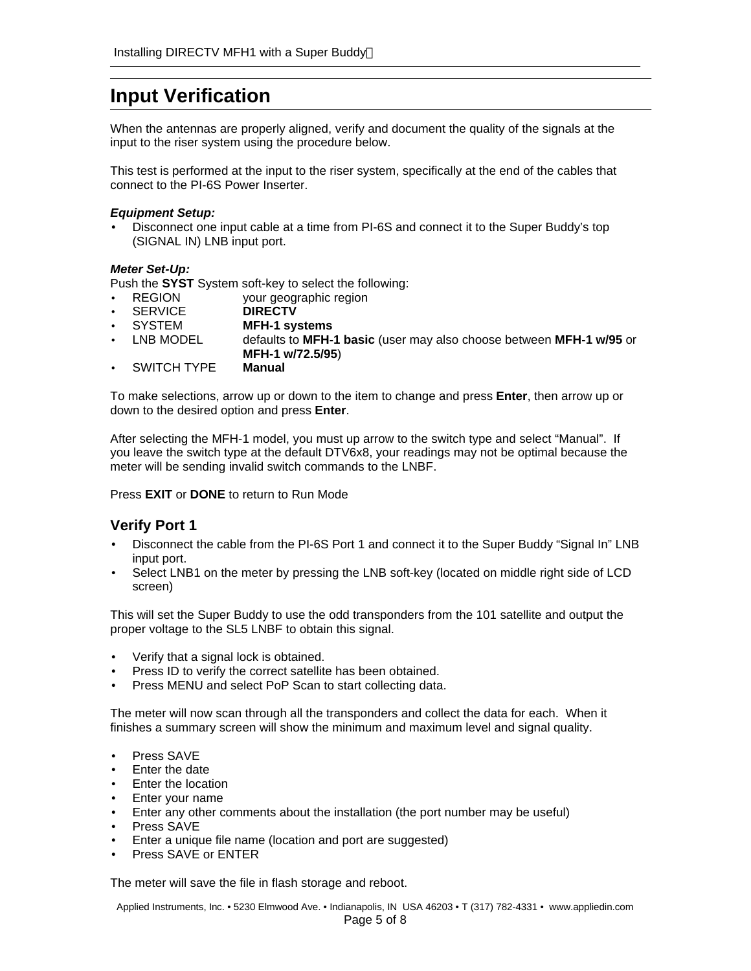# **Input Verification**

When the antennas are properly aligned, verify and document the quality of the signals at the input to the riser system using the procedure below.

This test is performed at the input to the riser system, specifically at the end of the cables that connect to the PI-6S Power Inserter.

#### *Equipment Setup:*

• Disconnect one input cable at a time from PI-6S and connect it to the Super Buddy's top (SIGNAL IN) LNB input port.

#### *Meter Set-Up:*

Push the **SYST** System soft-key to select the following:

- REGION your geographic region
- SERVICE **DIRECTV**
- SYSTEM **MFH-1 systems**
- LNB MODEL defaults to **MFH-1 basic** (user may also choose between **MFH-1 w/95** or **MFH-1 w/72.5/95**)
- SWITCH TYPE **Manual**

To make selections, arrow up or down to the item to change and press **Enter**, then arrow up or down to the desired option and press **Enter**.

After selecting the MFH-1 model, you must up arrow to the switch type and select "Manual". If you leave the switch type at the default DTV6x8, your readings may not be optimal because the meter will be sending invalid switch commands to the LNBF.

Press **EXIT** or **DONE** to return to Run Mode

## **Verify Port 1**

- Disconnect the cable from the PI-6S Port 1 and connect it to the Super Buddy "Signal In" LNB input port.
- Select LNB1 on the meter by pressing the LNB soft-key (located on middle right side of LCD screen)

This will set the Super Buddy to use the odd transponders from the 101 satellite and output the proper voltage to the SL5 LNBF to obtain this signal.

- Verify that a signal lock is obtained.
- Press ID to verify the correct satellite has been obtained.
- Press MENU and select PoP Scan to start collecting data.

The meter will now scan through all the transponders and collect the data for each. When it finishes a summary screen will show the minimum and maximum level and signal quality.

- Press SAVE
- Enter the date
- Enter the location
- Enter your name
- Enter any other comments about the installation (the port number may be useful)
- Press SAVE
- Enter a unique file name (location and port are suggested)
- Press SAVE or ENTER

The meter will save the file in flash storage and reboot.

Applied Instruments, Inc. • 5230 Elmwood Ave. • Indianapolis, IN USA 46203 • T (317) 782-4331 • www.appliedin.com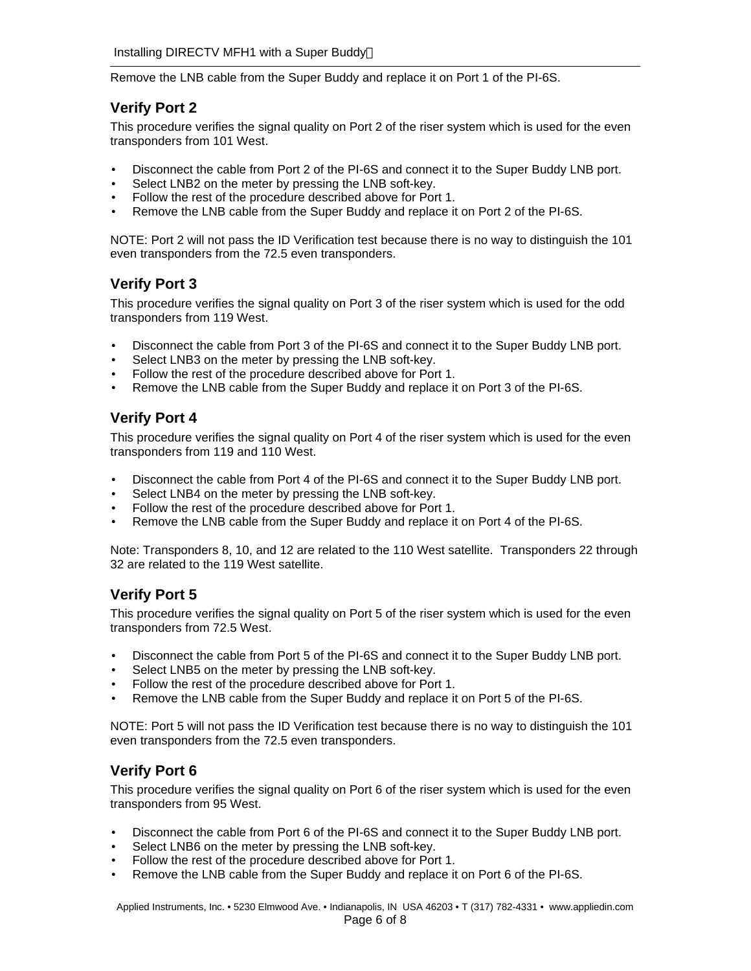Remove the LNB cable from the Super Buddy and replace it on Port 1 of the PI-6S.

# **Verify Port 2**

This procedure verifies the signal quality on Port 2 of the riser system which is used for the even transponders from 101 West.

- Disconnect the cable from Port 2 of the PI-6S and connect it to the Super Buddy LNB port.
- Select LNB2 on the meter by pressing the LNB soft-key.
- Follow the rest of the procedure described above for Port 1.
- Remove the LNB cable from the Super Buddy and replace it on Port 2 of the PI-6S.

NOTE: Port 2 will not pass the ID Verification test because there is no way to distinguish the 101 even transponders from the 72.5 even transponders.

## **Verify Port 3**

This procedure verifies the signal quality on Port 3 of the riser system which is used for the odd transponders from 119 West.

- Disconnect the cable from Port 3 of the PI-6S and connect it to the Super Buddy LNB port.
- Select LNB3 on the meter by pressing the LNB soft-key.
- Follow the rest of the procedure described above for Port 1.
- Remove the LNB cable from the Super Buddy and replace it on Port 3 of the PI-6S.

# **Verify Port 4**

This procedure verifies the signal quality on Port 4 of the riser system which is used for the even transponders from 119 and 110 West.

- Disconnect the cable from Port 4 of the PI-6S and connect it to the Super Buddy LNB port.
- Select LNB4 on the meter by pressing the LNB soft-key.
- Follow the rest of the procedure described above for Port 1.
- Remove the LNB cable from the Super Buddy and replace it on Port 4 of the PI-6S.

Note: Transponders 8, 10, and 12 are related to the 110 West satellite. Transponders 22 through 32 are related to the 119 West satellite.

# **Verify Port 5**

This procedure verifies the signal quality on Port 5 of the riser system which is used for the even transponders from 72.5 West.

- Disconnect the cable from Port 5 of the PI-6S and connect it to the Super Buddy LNB port.
- Select LNB5 on the meter by pressing the LNB soft-key.
- Follow the rest of the procedure described above for Port 1.
- Remove the LNB cable from the Super Buddy and replace it on Port 5 of the PI-6S.

NOTE: Port 5 will not pass the ID Verification test because there is no way to distinguish the 101 even transponders from the 72.5 even transponders.

# **Verify Port 6**

This procedure verifies the signal quality on Port 6 of the riser system which is used for the even transponders from 95 West.

- Disconnect the cable from Port 6 of the PI-6S and connect it to the Super Buddy LNB port.
- Select LNB6 on the meter by pressing the LNB soft-key.
- Follow the rest of the procedure described above for Port 1.
- Remove the LNB cable from the Super Buddy and replace it on Port 6 of the PI-6S.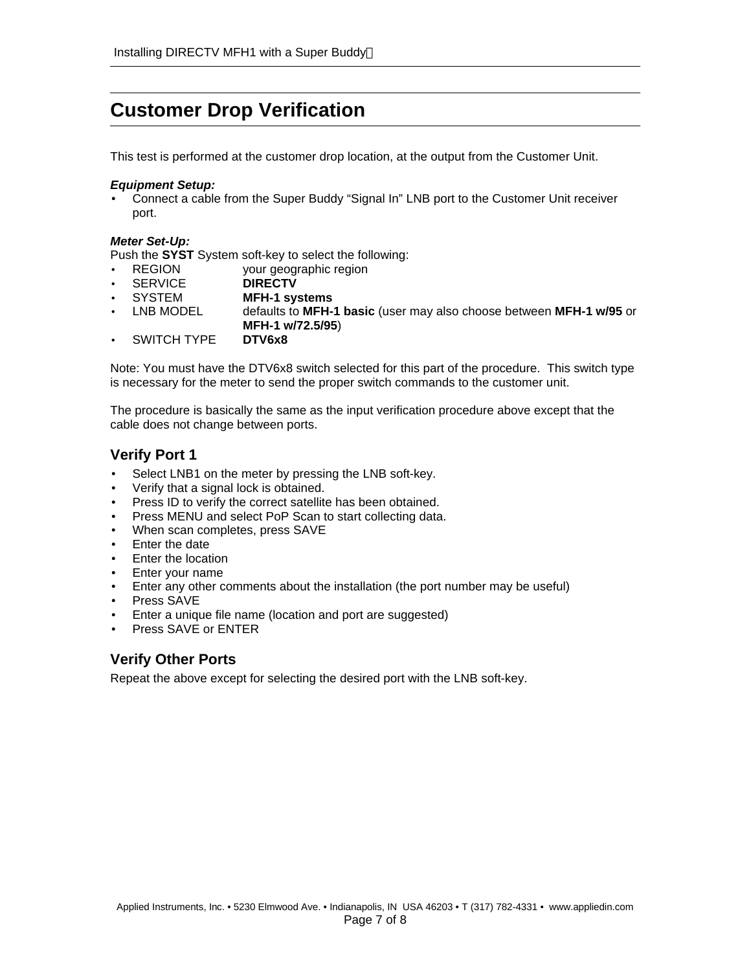# **Customer Drop Verification**

This test is performed at the customer drop location, at the output from the Customer Unit.

#### *Equipment Setup:*

• Connect a cable from the Super Buddy "Signal In" LNB port to the Customer Unit receiver port.

#### *Meter Set-Up:*

Push the **SYST** System soft-key to select the following:

- REGION your geographic region
- SERVICE **DIRECTV**
- SYSTEM **MFH-1 systems**
- LNB MODEL defaults to **MFH-1 basic** (user may also choose between **MFH-1 w/95** or **MFH-1 w/72.5/95**)
- SWITCH TYPE **DTV6x8**

Note: You must have the DTV6x8 switch selected for this part of the procedure. This switch type is necessary for the meter to send the proper switch commands to the customer unit.

The procedure is basically the same as the input verification procedure above except that the cable does not change between ports.

# **Verify Port 1**

- Select LNB1 on the meter by pressing the LNB soft-key.
- Verify that a signal lock is obtained.
- Press ID to verify the correct satellite has been obtained.
- Press MENU and select PoP Scan to start collecting data.
- When scan completes, press SAVE
- Enter the date
- Enter the location
- Enter your name
- Enter any other comments about the installation (the port number may be useful)
- Press SAVE
- Enter a unique file name (location and port are suggested)
- Press SAVE or ENTER

# **Verify Other Ports**

Repeat the above except for selecting the desired port with the LNB soft-key.